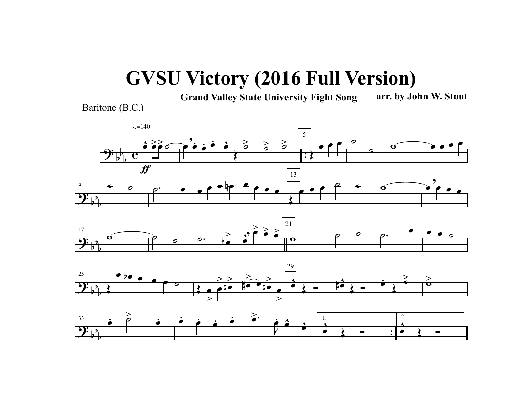## **GVSU Victory (2016 Full Version)**

**Grand Valley State University Fight Song arr. by John W. Stout**

Baritone (B.C.)



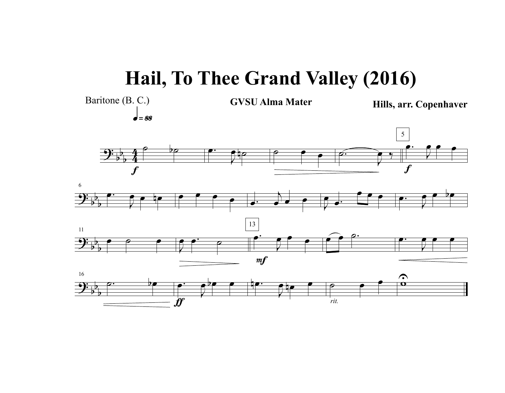## **Hail, To Thee Grand Valley (2016)**

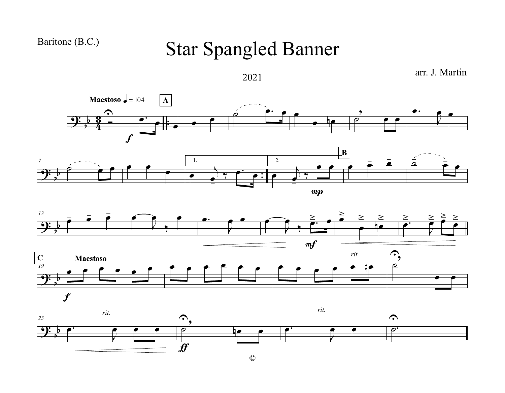## Baritone (B.C.)

## Star Spangled Banner



arr. J. Martin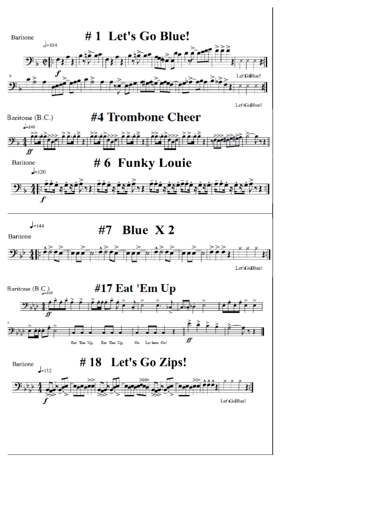